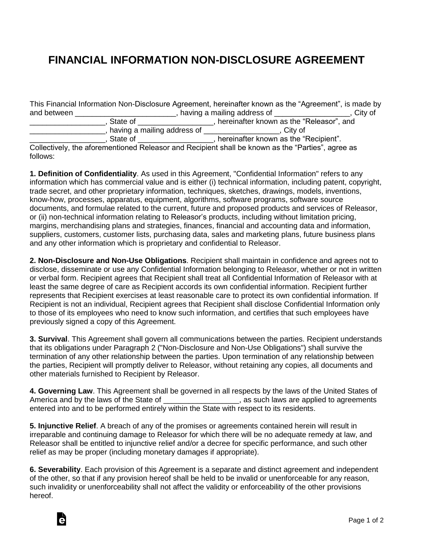## **FINANCIAL INFORMATION NON-DISCLOSURE AGREEMENT**

This Financial Information Non-Disclosure Agreement, hereinafter known as the "Agreement", is made by and between \_\_\_\_\_\_\_\_\_\_\_\_\_\_\_\_\_\_\_\_\_\_\_\_\_\_, having a mailing address of \_\_\_\_\_\_\_\_\_\_\_\_\_\_\_\_\_\_, City of \_\_\_\_\_\_\_\_\_\_\_\_\_\_\_\_\_\_, State of \_\_\_\_\_\_\_\_\_\_\_\_\_\_\_\_\_\_, hereinafter known as the "Releasor", and

\_\_\_\_\_\_\_\_\_\_\_\_\_\_\_\_\_\_, having a mailing address of \_\_\_\_\_\_\_\_\_\_\_\_\_\_\_\_\_\_, City of \_\_\_\_\_\_\_\_\_\_\_\_\_\_\_\_\_\_, State of \_\_\_\_\_\_\_\_\_\_\_\_\_\_\_\_\_\_, hereinafter known as the "Recipient". Collectively, the aforementioned Releasor and Recipient shall be known as the "Parties", agree as

follows:

**1. Definition of Confidentiality**. As used in this Agreement, "Confidential Information" refers to any information which has commercial value and is either (i) technical information, including patent, copyright, trade secret, and other proprietary information, techniques, sketches, drawings, models, inventions, know-how, processes, apparatus, equipment, algorithms, software programs, software source documents, and formulae related to the current, future and proposed products and services of Releasor, or (ii) non-technical information relating to Releasor's products, including without limitation pricing, margins, merchandising plans and strategies, finances, financial and accounting data and information, suppliers, customers, customer lists, purchasing data, sales and marketing plans, future business plans and any other information which is proprietary and confidential to Releasor.

**2. Non-Disclosure and Non-Use Obligations**. Recipient shall maintain in confidence and agrees not to disclose, disseminate or use any Confidential Information belonging to Releasor, whether or not in written or verbal form. Recipient agrees that Recipient shall treat all Confidential Information of Releasor with at least the same degree of care as Recipient accords its own confidential information. Recipient further represents that Recipient exercises at least reasonable care to protect its own confidential information. If Recipient is not an individual, Recipient agrees that Recipient shall disclose Confidential Information only to those of its employees who need to know such information, and certifies that such employees have previously signed a copy of this Agreement.

**3. Survival**. This Agreement shall govern all communications between the parties. Recipient understands that its obligations under Paragraph 2 ("Non-Disclosure and Non-Use Obligations") shall survive the termination of any other relationship between the parties. Upon termination of any relationship between the parties, Recipient will promptly deliver to Releasor, without retaining any copies, all documents and other materials furnished to Recipient by Releasor.

**4. Governing Law**. This Agreement shall be governed in all respects by the laws of the United States of America and by the laws of the State of \_\_\_\_\_\_\_\_\_\_\_\_\_\_\_\_\_\_\_\_, as such laws are applied to agreements entered into and to be performed entirely within the State with respect to its residents.

**5. Injunctive Relief**. A breach of any of the promises or agreements contained herein will result in irreparable and continuing damage to Releasor for which there will be no adequate remedy at law, and Releasor shall be entitled to injunctive relief and/or a decree for specific performance, and such other relief as may be proper (including monetary damages if appropriate).

**6. Severability**. Each provision of this Agreement is a separate and distinct agreement and independent of the other, so that if any provision hereof shall be held to be invalid or unenforceable for any reason, such invalidity or unenforceability shall not affect the validity or enforceability of the other provisions hereof.